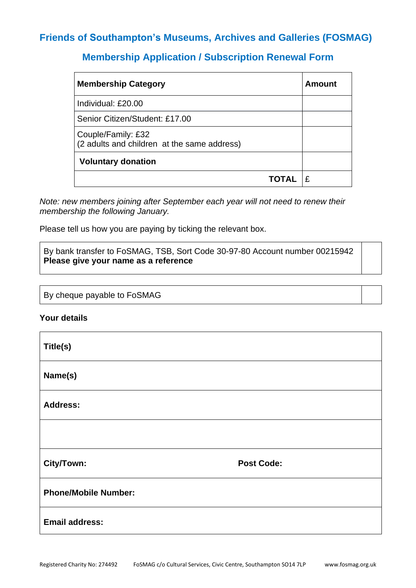# **Friends of Southampton's Museums, Archives and Galleries (FOSMAG)**

# **Membership Application / Subscription Renewal Form**

| <b>Membership Category</b>                                        | Amount |
|-------------------------------------------------------------------|--------|
| Individual: £20.00                                                |        |
| Senior Citizen/Student: £17.00                                    |        |
| Couple/Family: £32<br>(2 adults and children at the same address) |        |
| <b>Voluntary donation</b>                                         |        |
|                                                                   |        |

*Note: new members joining after September each year will not need to renew their membership the following January.*

Please tell us how you are paying by ticking the relevant box.

By bank transfer to FoSMAG, TSB, Sort Code 30-97-80 Account number 00215942 **Please give your name as a reference**

By cheque payable to FoSMAG

### **Your details**

| Title(s)                    |                   |
|-----------------------------|-------------------|
| Name(s)                     |                   |
| <b>Address:</b>             |                   |
|                             |                   |
| City/Town:                  | <b>Post Code:</b> |
| <b>Phone/Mobile Number:</b> |                   |
| <b>Email address:</b>       |                   |